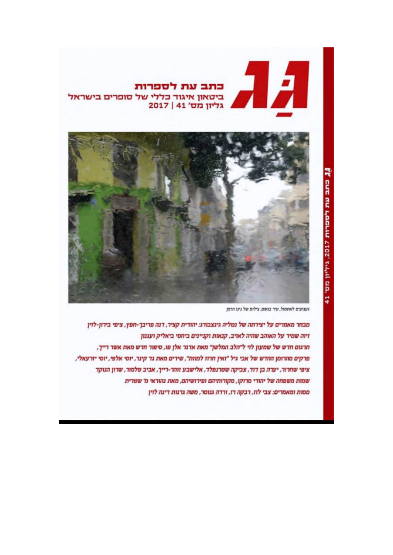## כתב עת לספרות ביטאון איגוד כללי של סופרים בישראל 2017 | גליון מס' 41



געגועים לאתמול, עיר בגשם, צילום של נינו הרמן

מבחר מאמרים על יצירתה של נטליה גינצבורג: יהודית קציר, דנה פריבך-חפץ, ציפי בירון-לוין זיוה שמיר על האוהב שהיה לאויב, קנאות וקניינים ביחסי ביאליק ועגנון תרגום חדש של שמעון לוי ל"הלב המלשן" מאת אדגר אלן פו, סיפור חדש מאת אשר רייך, פרקים מהרומן החדש של אבי גיל "ואין חרוז למוות", שירים מאת גד קינר, יוסי אלפי, יוסי יזרעאלי, ציפי שחרור, יערה בן דוד, צביקה שטרגפלד, אלישבע זוהר-רייך, אביב טלמור, שרון הנוקד שמות משפחה של יהודי מרוקו, מקורותיהם ופירושיהם, מאת נהוראי מ' שטרית מסות ומאמרים: צבי לזז, רבקה רז, ורדה גנוסר, משה גרנות דינה לוין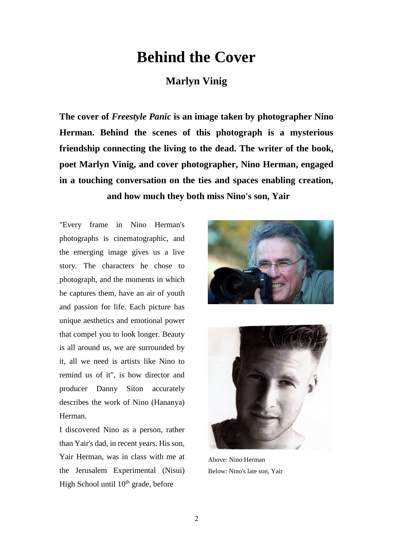## **Behind the Cover**

## **Marlyn Vinig**

**The cover of** *Freestyle Panic* **is an image taken by photographer Nino Herman. Behind the scenes of this photograph is a mysterious friendship connecting the living to the dead. The writer of the book, poet Marlyn Vinig, and cover photographer, Nino Herman, engaged in a touching conversation on the ties and spaces enabling creation, and how much they both miss Nino's son, Yair**

"Every frame in Nino Herman's photographs is cinematographic, and the emerging image gives us a live story. The characters he chose to photograph, and the moments in which he captures them, have an air of youth and passion for life. Each picture has unique aesthetics and emotional power that compel you to look longer. Beauty is all around us, we are surrounded by it, all we need is artists like Nino to remind us of it", is how director and producer Danny Siton accurately describes the work of Nino (Hananya) Herman.

I discovered Nino as a person, rather than Yair's dad, in recent years. His son, Yair Herman, was in class with me at the Jerusalem Experimental (Nisui) High School until  $10<sup>th</sup>$  grade, before





Above: Nino Herman Below: Nino's late son, Yair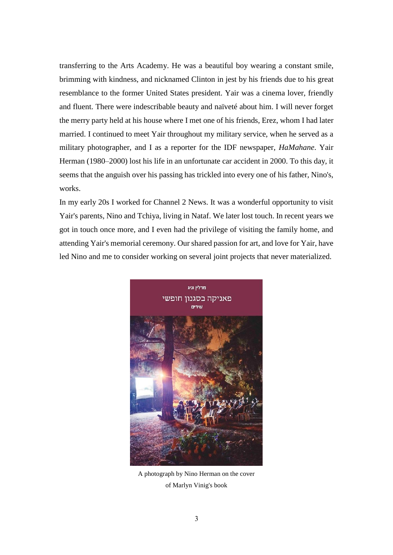transferring to the Arts Academy. He was a beautiful boy wearing a constant smile, brimming with kindness, and nicknamed Clinton in jest by his friends due to his great resemblance to the former United States president. Yair was a cinema lover, friendly and fluent. There were indescribable beauty and naïveté about him. I will never forget the merry party held at his house where I met one of his friends, Erez, whom I had later married. I continued to meet Yair throughout my military service, when he served as a military photographer, and I as a reporter for the IDF newspaper, *HaMahane*. Yair Herman (1980–2000) lost his life in an unfortunate car accident in 2000. To this day, it seems that the anguish over his passing has trickled into every one of his father, Nino's, works.

In my early 20s I worked for Channel 2 News. It was a wonderful opportunity to visit Yair's parents, Nino and Tchiya, living in Nataf. We later lost touch. In recent years we got in touch once more, and I even had the privilege of visiting the family home, and attending Yair's memorial ceremony. Our shared passion for art, and love for Yair, have led Nino and me to consider working on several joint projects that never materialized.



A photograph by Nino Herman on the cover of Marlyn Vinig's book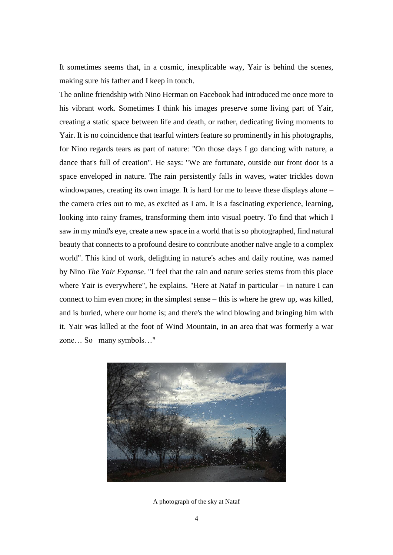It sometimes seems that, in a cosmic, inexplicable way, Yair is behind the scenes, making sure his father and I keep in touch.

The online friendship with Nino Herman on Facebook had introduced me once more to his vibrant work. Sometimes I think his images preserve some living part of Yair, creating a static space between life and death, or rather, dedicating living moments to Yair. It is no coincidence that tearful winters feature so prominently in his photographs, for Nino regards tears as part of nature: "On those days I go dancing with nature, a dance that's full of creation". He says: "We are fortunate, outside our front door is a space enveloped in nature. The rain persistently falls in waves, water trickles down windowpanes, creating its own image. It is hard for me to leave these displays alone – the camera cries out to me, as excited as I am. It is a fascinating experience, learning, looking into rainy frames, transforming them into visual poetry. To find that which I saw in my mind's eye, create a new space in a world that is so photographed, find natural beauty that connects to a profound desire to contribute another naïve angle to a complex world". This kind of work, delighting in nature's aches and daily routine, was named by Nino *The Yair Expanse*. "I feel that the rain and nature series stems from this place where Yair is everywhere", he explains. "Here at Nataf in particular – in nature I can connect to him even more; in the simplest sense – this is where he grew up, was killed, and is buried, where our home is; and there's the wind blowing and bringing him with it. Yair was killed at the foot of Wind Mountain, in an area that was formerly a war zone… So many symbols…"



A photograph of the sky at Nataf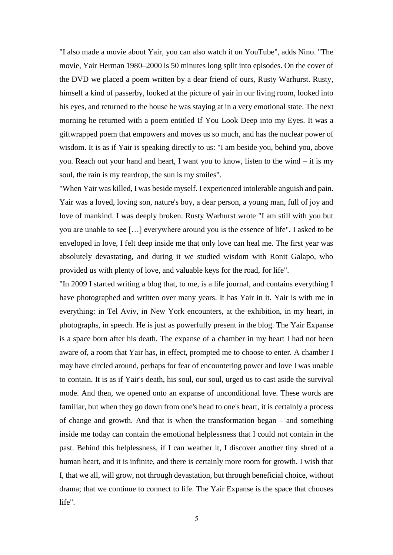"I also made a movie about Yair, you can also watch it on YouTube", adds Nino. "The movie, Yair Herman 1980–2000 is 50 minutes long split into episodes. On the cover of the DVD we placed a poem written by a dear friend of ours, Rusty Warhurst. Rusty, himself a kind of passerby, looked at the picture of yair in our living room, looked into his eyes, and returned to the house he was staying at in a very emotional state. The next morning he returned with a poem entitled If You Look Deep into my Eyes. It was a giftwrapped poem that empowers and moves us so much, and has the nuclear power of wisdom. It is as if Yair is speaking directly to us: "I am beside you, behind you, above you. Reach out your hand and heart, I want you to know, listen to the wind – it is my soul, the rain is my teardrop, the sun is my smiles".

"When Yair was killed, I was beside myself. I experienced intolerable anguish and pain. Yair was a loved, loving son, nature's boy, a dear person, a young man, full of joy and love of mankind. I was deeply broken. Rusty Warhurst wrote "I am still with you but you are unable to see […] everywhere around you is the essence of life". I asked to be enveloped in love, I felt deep inside me that only love can heal me. The first year was absolutely devastating, and during it we studied wisdom with Ronit Galapo, who provided us with plenty of love, and valuable keys for the road, for life".

"In 2009 I started writing a blog that, to me, is a life journal, and contains everything I have photographed and written over many years. It has Yair in it. Yair is with me in everything: in Tel Aviv, in New York encounters, at the exhibition, in my heart, in photographs, in speech. He is just as powerfully present in the blog. The Yair Expanse is a space born after his death. The expanse of a chamber in my heart I had not been aware of, a room that Yair has, in effect, prompted me to choose to enter. A chamber I may have circled around, perhaps for fear of encountering power and love I was unable to contain. It is as if Yair's death, his soul, our soul, urged us to cast aside the survival mode. And then, we opened onto an expanse of unconditional love. These words are familiar, but when they go down from one's head to one's heart, it is certainly a process of change and growth. And that is when the transformation began – and something inside me today can contain the emotional helplessness that I could not contain in the past. Behind this helplessness, if I can weather it, I discover another tiny shred of a human heart, and it is infinite, and there is certainly more room for growth. I wish that I, that we all, will grow, not through devastation, but through beneficial choice, without drama; that we continue to connect to life. The Yair Expanse is the space that chooses life".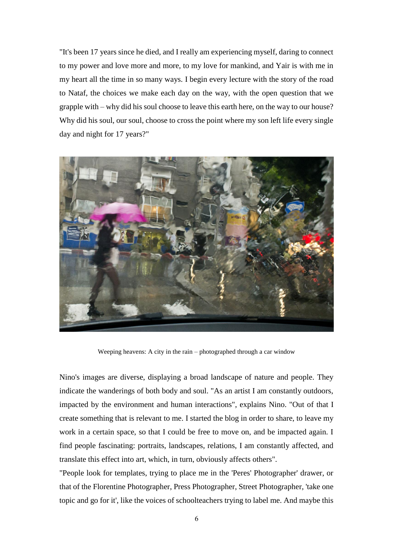"It's been 17 years since he died, and I really am experiencing myself, daring to connect to my power and love more and more, to my love for mankind, and Yair is with me in my heart all the time in so many ways. I begin every lecture with the story of the road to Nataf, the choices we make each day on the way, with the open question that we grapple with – why did his soul choose to leave this earth here, on the way to our house? Why did his soul, our soul, choose to cross the point where my son left life every single day and night for 17 years?"



Weeping heavens: A city in the rain – photographed through a car window

Nino's images are diverse, displaying a broad landscape of nature and people. They indicate the wanderings of both body and soul. "As an artist I am constantly outdoors, impacted by the environment and human interactions", explains Nino. "Out of that I create something that is relevant to me. I started the blog in order to share, to leave my work in a certain space, so that I could be free to move on, and be impacted again. I find people fascinating: portraits, landscapes, relations, I am constantly affected, and translate this effect into art, which, in turn, obviously affects others".

"People look for templates, trying to place me in the 'Peres' Photographer' drawer, or that of the Florentine Photographer, Press Photographer, Street Photographer, 'take one topic and go for it', like the voices of schoolteachers trying to label me. And maybe this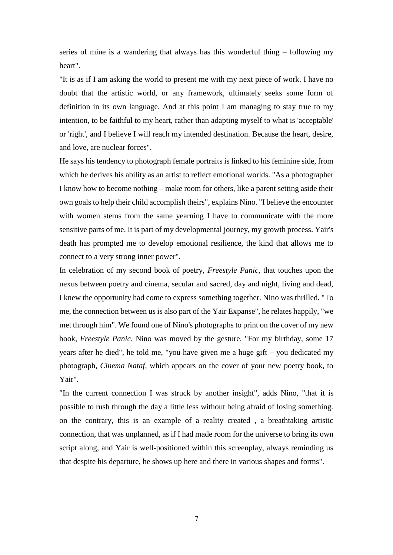series of mine is a wandering that always has this wonderful thing – following my heart".

"It is as if I am asking the world to present me with my next piece of work. I have no doubt that the artistic world, or any framework, ultimately seeks some form of definition in its own language. And at this point I am managing to stay true to my intention, to be faithful to my heart, rather than adapting myself to what is 'acceptable' or 'right', and I believe I will reach my intended destination. Because the heart, desire, and love, are nuclear forces".

He says his tendency to photograph female portraits is linked to his feminine side, from which he derives his ability as an artist to reflect emotional worlds. "As a photographer I know how to become nothing – make room for others, like a parent setting aside their own goals to help their child accomplish theirs", explains Nino. "I believe the encounter with women stems from the same yearning I have to communicate with the more sensitive parts of me. It is part of my developmental journey, my growth process. Yair's death has prompted me to develop emotional resilience, the kind that allows me to connect to a very strong inner power".

In celebration of my second book of poetry, *Freestyle Panic*, that touches upon the nexus between poetry and cinema, secular and sacred, day and night, living and dead, I knew the opportunity had come to express something together. Nino was thrilled. "To me, the connection between us is also part of the Yair Expanse", he relates happily, "we met through him". We found one of Nino's photographs to print on the cover of my new book, *Freestyle Panic*. Nino was moved by the gesture, "For my birthday, some 17 years after he died", he told me, "you have given me a huge gift – you dedicated my photograph, *Cinema Nataf*, which appears on the cover of your new poetry book, to Yair".

"In the current connection I was struck by another insight", adds Nino, "that it is possible to rush through the day a little less without being afraid of losing something. on the contrary, this is an example of a reality created , a breathtaking artistic connection, that was unplanned, as if I had made room for the universe to bring its own script along, and Yair is well-positioned within this screenplay, always reminding us that despite his departure, he shows up here and there in various shapes and forms".